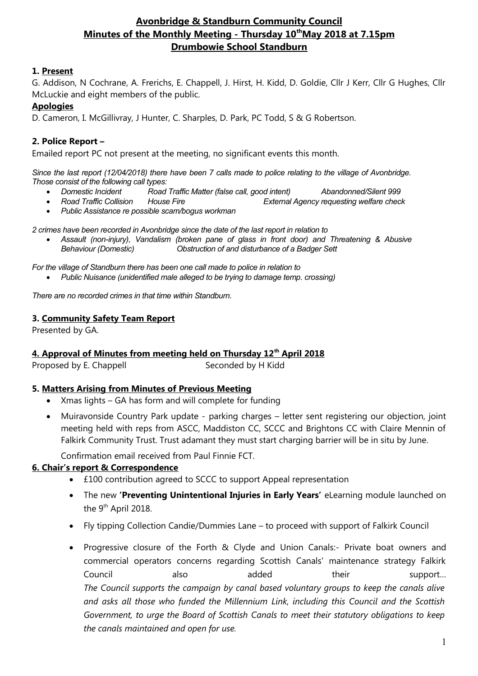# **Avonbridge & Standburn Community Council Minutes of the Monthly Meeting - Thursday 10th May 2018 at 7.15pm Drumbowie School Standburn**

### **1. Present**

G. Addison, N Cochrane, A. Frerichs, E. Chappell, J. Hirst, H. Kidd, D. Goldie, Cllr J Kerr, Cllr G Hughes, Cllr McLuckie and eight members of the public.

### **Apologies**

D. Cameron, I. McGillivray, J Hunter, C. Sharples, D. Park, PC Todd, S & G Robertson.

## **2. Police Report –**

Emailed report PC not present at the meeting, no significant events this month.

*Since the last report (12/04/2018) there have been 7 calls made to police relating to the village of Avonbridge. Those consist of the following call types:*

- *Domestic Incident Road Traffic Matter (false call, good intent) Abandonned/Silent 999*
- *Road Traffic Collision House Fire External Agency requesting welfare check*
- *Public Assistance re possible scam/bogus workman*

*2 crimes have been recorded in Avonbridge since the date of the last report in relation to* 

 *Assault (non-injury), Vandalism (broken pane of glass in front door) and Threatening & Abusive Behaviour (Domestic) Obstruction of and disturbance of a Badger Sett*

*For the village of Standburn there has been one call made to police in relation to* 

*Public Nuisance (unidentified male alleged to be trying to damage temp. crossing)*

*There are no recorded crimes in that time within Standburn.*

#### **3. Community Safety Team Report**

Presented by GA.

### **4. Approval of Minutes from meeting held on Thursday 12th April 2018**

Proposed by E. Chappell Seconded by H Kidd

## **5. Matters Arising from Minutes of Previous Meeting**

- Xmas lights GA has form and will complete for funding
- Muiravonside Country Park update parking charges letter sent registering our objection, joint meeting held with reps from ASCC, Maddiston CC, SCCC and Brightons CC with Claire Mennin of Falkirk Community Trust. Trust adamant they must start charging barrier will be in situ by June.

Confirmation email received from Paul Finnie FCT.

### **6. Chair's report & Correspondence**

- £100 contribution agreed to SCCC to support Appeal representation
- The new 'Preventing Unintentional Injuries in Early Years' eLearning module launched on the 9<sup>th</sup> April 2018.
- Fly tipping Collection Candie/Dummies Lane to proceed with support of Falkirk Council
- Progressive closure of the Forth & Clyde and Union Canals:- Private boat owners and commercial operators concerns regarding Scottish Canals' maintenance strategy Falkirk Council also added their support... *The Council supports the campaign by canal based voluntary groups to keep the canals alive and asks all those who funded the Millennium Link, including this Council and the Scottish Government, to urge the Board of Scottish Canals to meet their statutory obligations to keep the canals maintained and open for use.*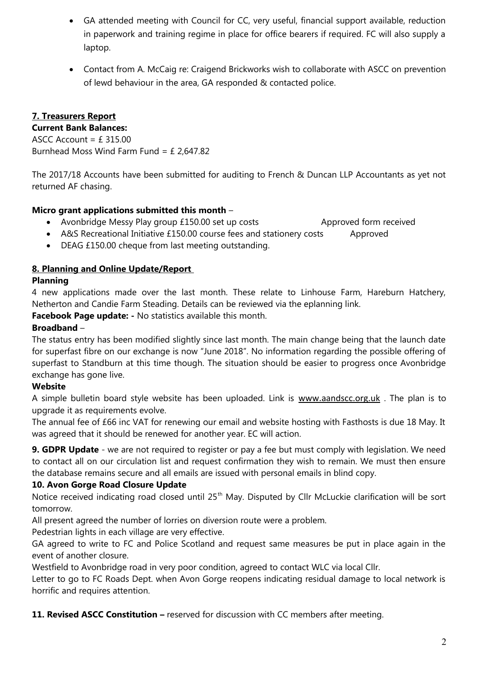- GA attended meeting with Council for CC, very useful, financial support available, reduction in paperwork and training regime in place for office bearers if required. FC will also supply a laptop.
- Contact from A. McCaig re: Craigend Brickworks wish to collaborate with ASCC on prevention of lewd behaviour in the area, GA responded & contacted police.

# **7. Treasurers Report**

# **Current Bank Balances:**

ASCC Account =  $£ 315.00$ Burnhead Moss Wind Farm Fund =  $£$  2,647.82

The 2017/18 Accounts have been submitted for auditing to French & Duncan LLP Accountants as yet not returned AF chasing.

## **Micro grant applications submitted this month** –

• Avonbridge Messy Play group £150.00 set up costs Approved form received

• A&S Recreational Initiative £150.00 course fees and stationery costs Approved

• DEAG £150.00 cheque from last meeting outstanding.

## **8. Planning and Online Update/Report**

## **Planning**

4 new applications made over the last month. These relate to Linhouse Farm, Hareburn Hatchery, Netherton and Candie Farm Steading. Details can be reviewed via the eplanning link.

**Facebook Page update: -** No statistics available this month.

### **Broadband** –

The status entry has been modified slightly since last month. The main change being that the launch date for superfast fibre on our exchange is now "June 2018". No information regarding the possible offering of superfast to Standburn at this time though. The situation should be easier to progress once Avonbridge exchange has gone live.

### **Website**

A simple bulletin board style website has been uploaded. Link is [www.aandscc.org.uk](http://www.aandscc.org.uk/). The plan is to upgrade it as requirements evolve.

The annual fee of £66 inc VAT for renewing our email and website hosting with Fasthosts is due 18 May. It was agreed that it should be renewed for another year. EC will action.

**9. GDPR Update** - we are not required to register or pay a fee but must comply with legislation. We need to contact all on our circulation list and request confirmation they wish to remain. We must then ensure the database remains secure and all emails are issued with personal emails in blind copy.

## **10. Avon Gorge Road Closure Update**

Notice received indicating road closed until 25<sup>th</sup> May. Disputed by Cllr McLuckie clarification will be sort tomorrow.

All present agreed the number of lorries on diversion route were a problem.

Pedestrian lights in each village are very effective.

GA agreed to write to FC and Police Scotland and request same measures be put in place again in the event of another closure.

Westfield to Avonbridge road in very poor condition, agreed to contact WLC via local Cllr.

Letter to go to FC Roads Dept. when Avon Gorge reopens indicating residual damage to local network is horrific and requires attention.

**11. Revised ASCC Constitution –** reserved for discussion with CC members after meeting.